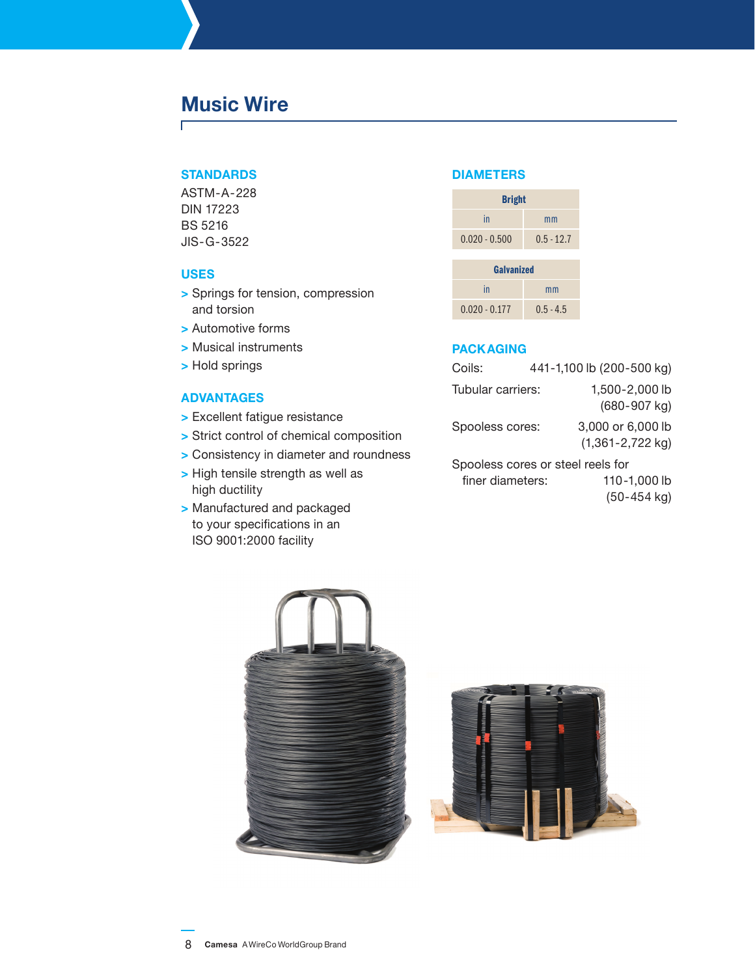# **Music Wire**

Г

## **Standards**

ASTM-A-228 DIN 17223 BS 5216 JIS-G-3522

## **Uses**

- **>** Springs for tension, compression and torsion
- **>** Automotive forms
- **>** Musical instruments
- **>** Hold springs

## **Advantages**

- **>** Excellent fatigue resistance
- **>** Strict control of chemical composition
- **>** Consistency in diameter and roundness
- **>** High tensile strength as well as high ductility
- **>** Manufactured and packaged to your specifications in an ISO 9001:2000 facility

## **diameters**

| <b>Bright</b>   |              |  |  |
|-----------------|--------------|--|--|
| in              | mm           |  |  |
| $0.020 - 0.500$ | $0.5 - 12.7$ |  |  |

| <b>Galvanized</b> |             |  |  |
|-------------------|-------------|--|--|
| in                | mm          |  |  |
| $0.020 - 0.177$   | $0.5 - 4.5$ |  |  |

## **Packaging**

| Coils:                            |  | 441-1,100 lb (200-500 kg)                 |  |  |
|-----------------------------------|--|-------------------------------------------|--|--|
| Tubular carriers:                 |  | 1,500-2,000 lb<br>$(680 - 907$ kg)        |  |  |
| Spooless cores:                   |  | 3,000 or 6,000 lb<br>$(1,361 - 2,722$ kg) |  |  |
| Spooless cores or steel reels for |  |                                           |  |  |
| finer diameters:                  |  | 110-1,000 lb                              |  |  |
|                                   |  | $(50-454$ kg)                             |  |  |